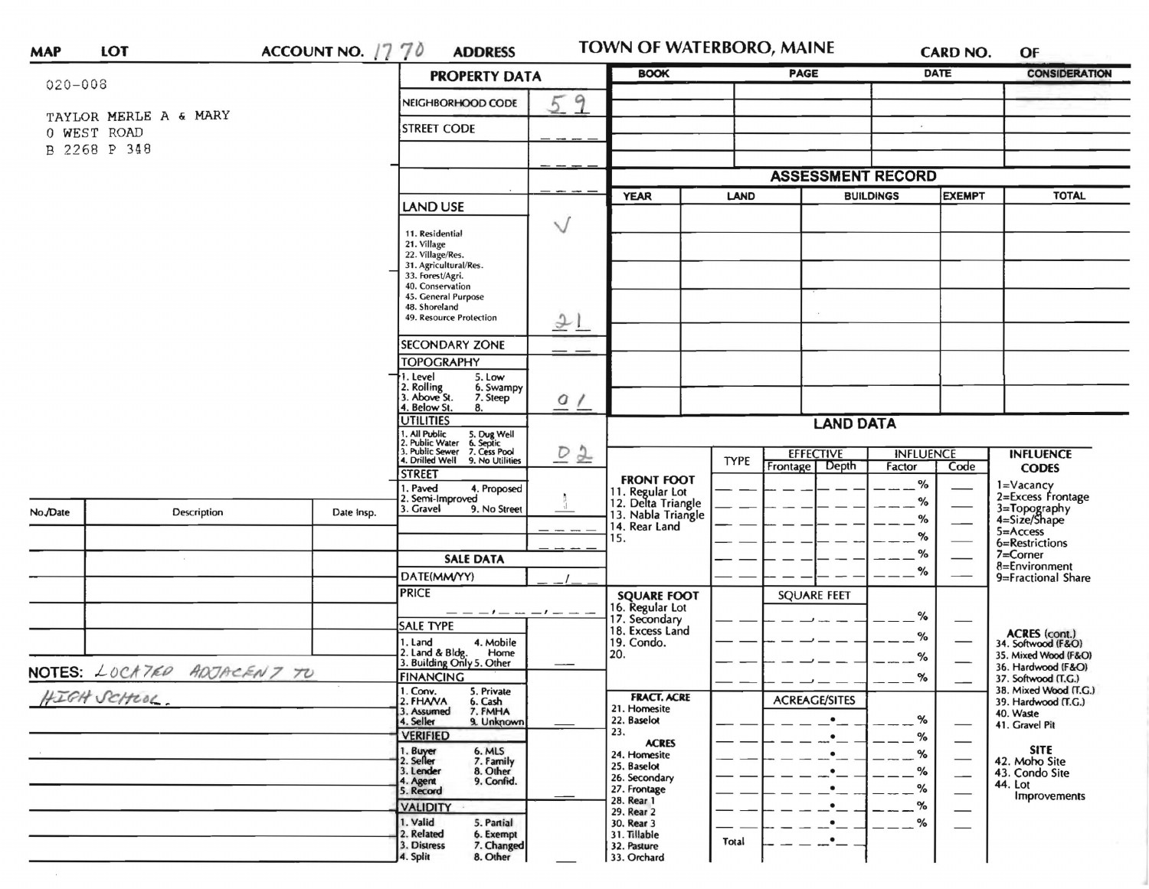|                            |                       |                    | ACCOUNT NO. $1770$<br><b>ADDRESS</b><br><b>PROPERTY DATA</b>                                                                                  |              | <b>BOOK</b>                                                 |                                 | <b>CARD NO.</b><br><b>PAGE</b> |                  | <b>DATE</b>              | OF<br><b>CONSIDERATION</b>                   |
|----------------------------|-----------------------|--------------------|-----------------------------------------------------------------------------------------------------------------------------------------------|--------------|-------------------------------------------------------------|---------------------------------|--------------------------------|------------------|--------------------------|----------------------------------------------|
| $020 - 008$                |                       |                    |                                                                                                                                               |              |                                                             |                                 |                                |                  |                          |                                              |
|                            | TAYLOR MERLE A & MARY |                    | NEIGHBORHOOD CODE                                                                                                                             | 9            |                                                             |                                 |                                |                  |                          |                                              |
|                            | 0 WEST ROAD           | <b>STREET CODE</b> |                                                                                                                                               |              |                                                             |                                 |                                |                  |                          |                                              |
|                            | B 2268 P 348          |                    |                                                                                                                                               |              |                                                             |                                 |                                |                  |                          |                                              |
|                            |                       |                    |                                                                                                                                               |              |                                                             |                                 |                                |                  |                          |                                              |
|                            |                       |                    |                                                                                                                                               |              |                                                             |                                 | <b>ASSESSMENT RECORD</b>       |                  |                          |                                              |
|                            |                       |                    | <b>LAND USE</b>                                                                                                                               |              | <b>YEAR</b>                                                 | <b>BUILDINGS</b><br><b>LAND</b> |                                | <b>EXEMPT</b>    |                          | <b>TOTAL</b>                                 |
|                            |                       |                    |                                                                                                                                               | $\checkmark$ |                                                             |                                 |                                |                  |                          |                                              |
|                            |                       |                    | 11. Residential<br>21. Village                                                                                                                |              |                                                             |                                 |                                |                  |                          |                                              |
|                            |                       |                    | 22. Village/Res.<br>31. Agricultural/Res.                                                                                                     |              |                                                             |                                 |                                |                  |                          |                                              |
|                            |                       |                    | 33. Forest/Agri.<br>40. Conservation                                                                                                          |              |                                                             |                                 |                                |                  |                          |                                              |
|                            |                       |                    | 45. General Purpose                                                                                                                           |              |                                                             |                                 |                                |                  |                          |                                              |
|                            |                       |                    | 48. Shoreland<br>49. Resource Protection                                                                                                      | 21           |                                                             |                                 |                                |                  |                          |                                              |
|                            |                       |                    |                                                                                                                                               |              |                                                             |                                 |                                |                  |                          |                                              |
|                            |                       |                    | <b>SECONDARY ZONE</b><br><b>TOPOGRAPHY</b>                                                                                                    |              |                                                             |                                 |                                |                  |                          |                                              |
|                            |                       |                    | 1. Level<br>5. Low                                                                                                                            |              |                                                             |                                 |                                |                  |                          |                                              |
|                            |                       |                    | 2. Rolling<br>3. Above St.<br>6. Swampy<br>7. Steep                                                                                           |              |                                                             |                                 |                                |                  |                          |                                              |
|                            |                       |                    | 4. Below St.<br>8.                                                                                                                            | $Q$ $\prime$ |                                                             |                                 |                                |                  |                          |                                              |
|                            |                       |                    | <b>UTILITIES</b><br>1. All Public 5. Dug Well<br>2. Public Water 6. Septic<br>3. Public Sewer 7. Cess Pool<br>4. Drilled Well 9. No Utilities | D2           | <b>LAND DATA</b>                                            |                                 |                                |                  |                          |                                              |
|                            |                       |                    |                                                                                                                                               |              |                                                             | <b>EFFECTIVE</b>                |                                | <b>INFLUENCE</b> |                          | <b>INFLUENCE</b>                             |
|                            |                       |                    | <b>STREET</b>                                                                                                                                 |              |                                                             | <b>TYPE</b><br>Frontage         | Depth                          | Factor           | Code                     | <b>CODES</b>                                 |
|                            |                       |                    | . Paved<br>4. Proposed                                                                                                                        |              | <b>FRONT FOOT</b>                                           |                                 |                                | $\%$             |                          | 1=Vacancy<br>2=Excess Frontage               |
| No./Date                   | Description           | Date Insp.         | 2. Semi-Improved<br>3. Gravel<br>9. No Street                                                                                                 |              | 11. Regular Lot<br>12. Delta Triangle<br>13. Nabla Triangle |                                 |                                | %                |                          |                                              |
|                            |                       |                    |                                                                                                                                               |              | 14. Rear Land                                               |                                 |                                | %                |                          | 3=Topography<br>4=Size/Shape<br>$5 =$ Access |
|                            |                       |                    |                                                                                                                                               |              | 15.                                                         |                                 |                                | %                |                          | 6=Restrictions                               |
|                            |                       |                    | <b>SALE DATA</b>                                                                                                                              |              |                                                             |                                 |                                | %                |                          | 7=Corner<br>8=Environment                    |
|                            |                       |                    | DATE(MM/YY)                                                                                                                                   |              |                                                             |                                 |                                | %                |                          | 9=Fractional Share                           |
|                            |                       |                    | <b>PRICE</b>                                                                                                                                  |              | <b>SQUARE FOOT</b>                                          |                                 | <b>SQUARE FEET</b>             |                  |                          |                                              |
|                            |                       |                    |                                                                                                                                               | $-1 - -$     | 16. Regular Lot<br>17. Secondary                            |                                 |                                | %                |                          |                                              |
|                            |                       |                    | <b>SALE TYPE</b><br>4. Mobile<br>1. Land                                                                                                      |              | 18. Excess Land<br>19. Condo.                               |                                 |                                | %                |                          | ACRES (cont.)<br>34. Softwood (F&O)          |
|                            |                       |                    | 2. Land & Bldg. Home<br>3. Building Only 5. Other<br>Home                                                                                     |              | 20.                                                         |                                 |                                | %                |                          | 35. Mixed Wood (F&O)                         |
| NOTES: LOCATED ADJACENT TO |                       |                    | <b>FINANCING</b>                                                                                                                              |              |                                                             |                                 |                                | %                |                          | 36. Hardwood (F&O)<br>37. Softwood (T.G.)    |
| HIGH SCHLOC.               |                       |                    | 1. Conv.<br>5. Private                                                                                                                        |              | <b>FRACT. ACRE</b>                                          |                                 |                                |                  |                          | 38. Mixed Wood (T.G.)                        |
|                            |                       |                    | 2. FHANA<br>6. Cash<br>7. FMHA<br>3. Assumed                                                                                                  |              | 21. Homesite                                                |                                 | <b>ACREAGE/SITES</b>           |                  |                          | 39. Hardwood (T.G.)<br>40. Waste             |
|                            |                       |                    | 4. Seller<br>9. Unknown<br><b>VERIFIED</b>                                                                                                    |              | 22. Baselot<br>23.                                          |                                 | $\bullet$                      | %                |                          | 41. Gravel Pit                               |
|                            |                       |                    | 1. Buyer<br>6. MLS                                                                                                                            |              | <b>ACRES</b><br>24. Homesite                                |                                 |                                | %<br>%           | –                        | <b>SITE</b>                                  |
|                            |                       |                    | 2. Seller<br>7. Family<br>3. Lender                                                                                                           |              | 25. Baselot                                                 |                                 |                                | $\%$             |                          | 42. Moho Site<br>43. Condo Site              |
|                            |                       |                    | 8. Other<br>9. Confid.<br>4. Agent<br>5. Record                                                                                               |              | 26. Secondary<br>27. Frontage                               |                                 |                                | %                | $\overline{\phantom{0}}$ | 44. Lot                                      |
|                            |                       |                    | <b>VALIDITY</b>                                                                                                                               |              | 28. Rear 1                                                  |                                 |                                | $\%$             |                          | Improvements                                 |
|                            |                       |                    | 1. Valid<br>5. Partial                                                                                                                        |              | 29. Rear 2<br>30. Rear 3                                    |                                 |                                | %                |                          |                                              |
|                            |                       |                    | 2. Related<br>6. Exempt                                                                                                                       |              | 31. Tillable                                                | Total                           | $\mathbf{L}$                   |                  |                          |                                              |
|                            |                       |                    | 3. Distress<br>7. Changed                                                                                                                     |              | 32. Pasture                                                 |                                 |                                |                  |                          |                                              |